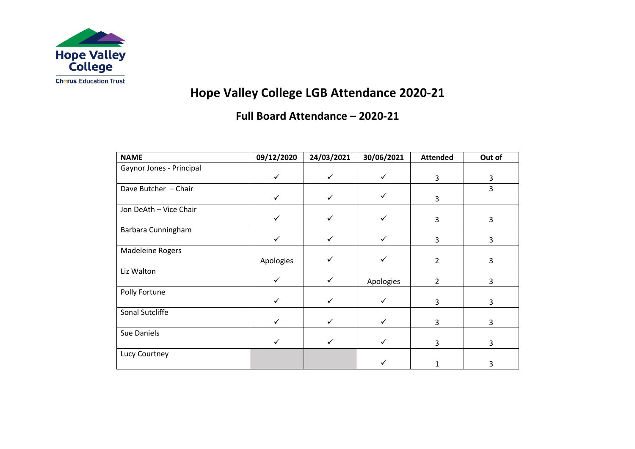

# **Hope Valley College LGB Attendance 2020-21**

### **Full Board Attendance – 2020-21**

| <b>NAME</b>              | 09/12/2020   | 24/03/2021   | 30/06/2021 | <b>Attended</b> | Out of |
|--------------------------|--------------|--------------|------------|-----------------|--------|
| Gaynor Jones - Principal |              |              |            |                 |        |
|                          | $\checkmark$ | $\checkmark$ | ✓          | 3               | 3      |
| Dave Butcher - Chair     |              |              |            |                 | 3      |
|                          |              |              |            | 3               |        |
| Jon DeAth - Vice Chair   |              |              |            |                 |        |
|                          |              |              |            | 3               | 3      |
| Barbara Cunningham       |              |              |            |                 |        |
|                          |              |              |            | 3               | 3      |
| Madeleine Rogers         |              |              |            |                 |        |
|                          | Apologies    |              |            | $\overline{2}$  | 3      |
| Liz Walton               |              |              |            |                 |        |
|                          |              |              | Apologies  | $\overline{2}$  | 3      |
| Polly Fortune            |              |              |            |                 |        |
|                          |              |              |            | 3               | 3      |
| Sonal Sutcliffe          |              |              |            |                 |        |
|                          |              |              |            | 3               | 3      |
| Sue Daniels              |              |              |            |                 |        |
|                          |              |              |            | 3               | 3      |
| Lucy Courtney            |              |              |            |                 |        |
|                          |              |              |            |                 | 3      |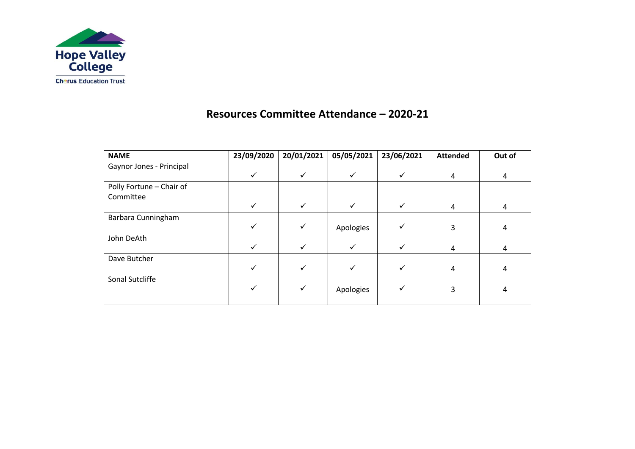

#### **Resources Committee Attendance – 2020-21**

| <b>NAME</b>              | 23/09/2020 | 20/01/2021   | 05/05/2021 | 23/06/2021 | <b>Attended</b> | Out of |
|--------------------------|------------|--------------|------------|------------|-----------------|--------|
| Gaynor Jones - Principal |            |              |            |            |                 |        |
|                          | ✓          | $\checkmark$ |            |            | 4               | 4      |
| Polly Fortune - Chair of |            |              |            |            |                 |        |
| Committee                |            |              |            |            |                 |        |
|                          | ✓          | $\checkmark$ |            | ✓          | 4               | 4      |
| Barbara Cunningham       |            |              |            |            |                 |        |
|                          |            | $\checkmark$ | Apologies  |            | 3               | 4      |
| John DeAth               |            |              |            |            |                 |        |
|                          |            | $\checkmark$ |            |            | 4               | 4      |
| Dave Butcher             |            |              |            |            |                 |        |
|                          |            | $\checkmark$ |            |            | 4               | 4      |
| Sonal Sutcliffe          |            |              |            |            |                 |        |
|                          |            | $\checkmark$ | Apologies  |            | 3               | 4      |
|                          |            |              |            |            |                 |        |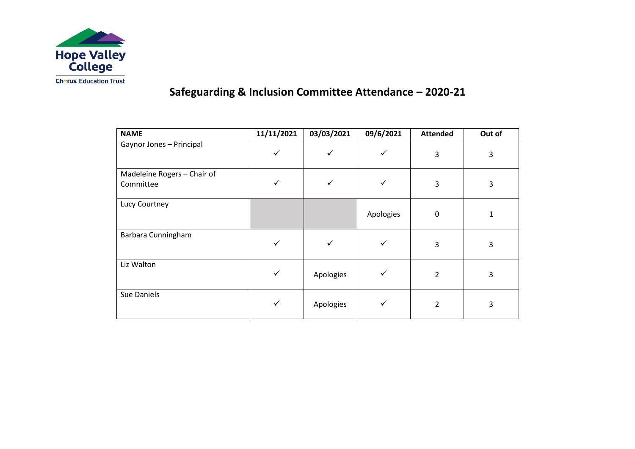

## **Safeguarding & Inclusion Committee Attendance – 2020-21**

| <b>NAME</b>                              | 11/11/2021   | 03/03/2021 | 09/6/2021 | <b>Attended</b> | Out of |
|------------------------------------------|--------------|------------|-----------|-----------------|--------|
| Gaynor Jones - Principal                 |              |            |           | 3               | 3      |
| Madeleine Rogers - Chair of<br>Committee |              |            |           | 3               | 3      |
| Lucy Courtney                            |              |            | Apologies | $\mathbf 0$     |        |
| Barbara Cunningham                       |              |            |           | 3               | 3      |
| Liz Walton                               | $\checkmark$ | Apologies  |           | 2               | 3      |
| Sue Daniels                              |              | Apologies  |           | 2               | 3      |